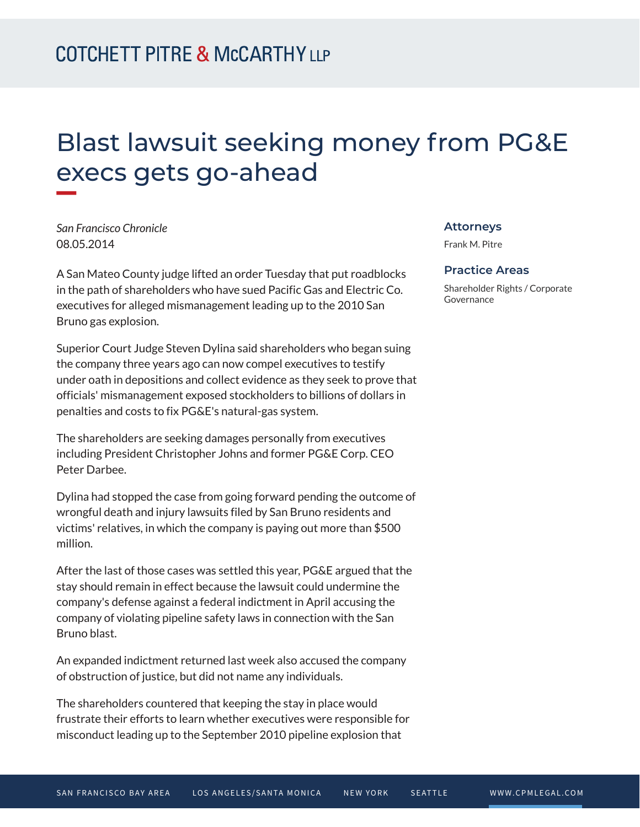# Blast lawsuit seeking money from PG&E execs gets go-ahead

*San Francisco Chronicle* 08.05.2014

**William** 

A San Mateo County judge lifted an order Tuesday that put roadblocks in the path of shareholders who have sued Pacific Gas and Electric Co. executives for alleged mismanagement leading up to the 2010 San Bruno gas explosion.

Superior Court Judge Steven Dylina said shareholders who began suing the company three years ago can now compel executives to testify under oath in depositions and collect evidence as they seek to prove that officials' mismanagement exposed stockholders to billions of dollars in penalties and costs to fix PG&E's natural-gas system.

The shareholders are seeking damages personally from executives including President Christopher Johns and former PG&E Corp. CEO Peter Darbee.

Dylina had stopped the case from going forward pending the outcome of wrongful death and injury lawsuits filed by San Bruno residents and victims' relatives, in which the company is paying out more than \$500 million.

After the last of those cases was settled this year, PG&E argued that the stay should remain in effect because the lawsuit could undermine the company's defense against a federal indictment in April accusing the company of violating pipeline safety laws in connection with the San Bruno blast.

An expanded indictment returned last week also accused the company of obstruction of justice, but did not name any individuals.

The shareholders countered that keeping the stay in place would frustrate their efforts to learn whether executives were responsible for misconduct leading up to the September 2010 pipeline explosion that

#### **Attorneys**

Frank M. Pitre

#### **Practice Areas**

Shareholder Rights / Corporate Governance